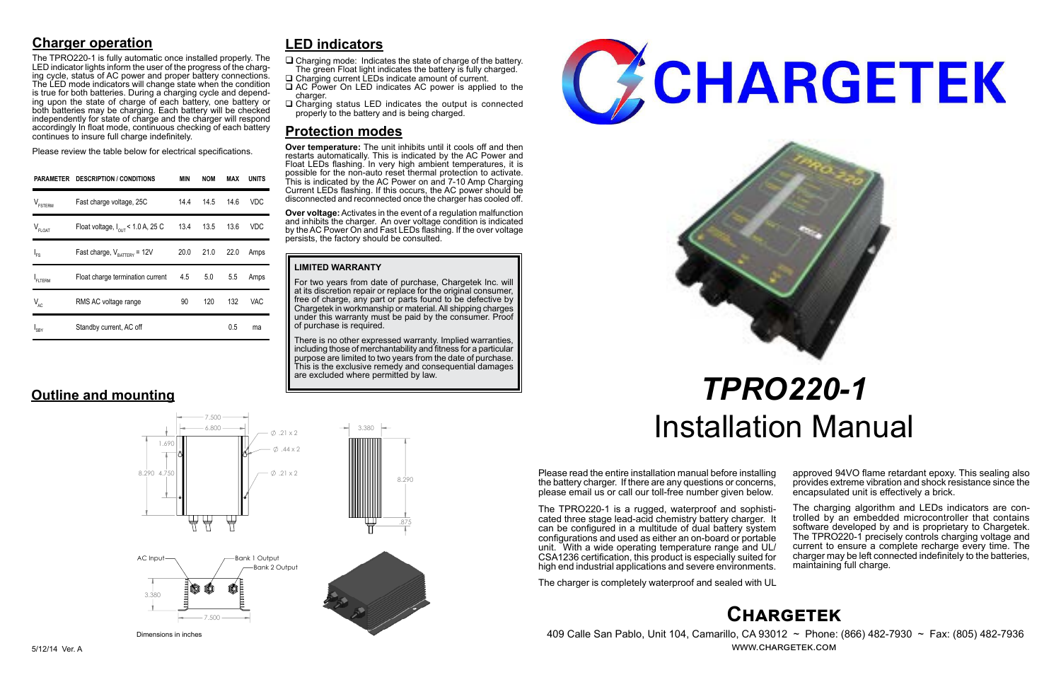## **Chargetek**

 409 Calle San Pablo, Unit 104, Camarillo, CA 93012 ~ Phone: (866) 482-7930 ~ Fax: (805) 482-7936 www.chargetek.com

## **Charger operation**

The TPRO220-1 is fully automatic once installed properly. The LED indicator lights inform the user of the progress of the charging cycle, status of AC power and proper battery connections. The LED mode indicators will change state when the condition is true for both batteries. During a charging cycle and depending upon the state of charge of each battery, one battery or both batteries may be charging. Each battery will be checked independently for state of charge and the charger will respond accordingly In float mode, continuous checking of each battery continues to insure full charge indefinitely.

Please review the table below for electrical specifications.

Please read the entire installation manual before installing the battery charger. If there are any questions or concerns, please email us or call our toll-free number given below.

The TPRO220-1 is a rugged, waterproof and sophisti- cated three stage lead-acid chemistry battery charger. It can be configured in a multitude of dual battery system configurations and used as either an on-board or portable unit. With a wide operating temperature range and UL/ CSA1236 certification, this product is especially suited for high end industrial applications and severe environments.

The charger is completely waterproof and sealed with UL

approved 94VO flame retardant epoxy. This sealing also provides extreme vibration and shock resistance since the encapsulated unit is effectively a brick.

- $\Box$  Charging mode: Indicates the state of charge of the battery. The green Float light indicates the battery is fully charged.
- □ Charging current LEDs indicate amount of current. □ AC Power On LED indicates AC power is applied to the
- charger.
- $\Box$  Charging status LED indicates the output is connected properly to the battery and is being charged.

The charging algorithm and LEDs indicators are con- trolled by an embedded microcontroller that contains software developed by and is proprietary to Chargetek. The TPRO220-1 precisely controls charging voltage and current to ensure a complete recharge every time. The charger may be left connected indefinitely to the batteries, maintaining full charge.

# *TPRO220-1* Installation Manual

| PARAMETER           | <b>DESCRIPTION / CONDITIONS</b>               | MIN  | <b>NOM</b> | MAX  | <b>UNITS</b> |
|---------------------|-----------------------------------------------|------|------------|------|--------------|
| $V_{\text{FSTERM}}$ | Fast charge voltage, 25C                      | 14.4 | 14.5       | 14.6 | <b>VDC</b>   |
| $V_{FLOAT}$         | Float voltage, $I_{\text{out}}$ < 1.0 A, 25 C | 13.4 | 13.5       | 13.6 | <b>VDC</b>   |
| $I_{FS}$            | Fast charge, $V_{\text{rATTARY}}$ = 12V       | 20.0 | 21.0       | 22.0 | Amps         |
| FLTERM              | Float charge termination current              | 4.5  | 5.0        | 5.5  | Amps         |
| $V_{AC}$            | RMS AC voltage range                          | 90   | 120        | 132  | VAC          |
| ' <sub>SBY</sub>    | Standby current, AC off                       |      |            | 0.5  | ma           |

### **LIMITED WARRANTY**

For two years from date of purchase, Chargetek Inc. will at its discretion repair or replace for the original consumer, free of charge, any part or parts found to be defective by Chargetek in workmanship or material. All shipping charges under this warranty must be paid by the consumer. Proof of purchase is required.

There is no other expressed warranty. Implied warranties, including those of merchantability and fitness for a particular purpose are limited to two years from the date of purchase. This is the exclusive remedy and consequential damages are excluded where permitted by law.





## **LED indicators**

## **Protection modes**

**Over temperature:** The unit inhibits until it cools off and then restarts automatically. This is indicated by the AC Power and Float LEDs flashing. In very high ambient temperatures, it is possible for the non-auto reset thermal protection to activate. This is indicated by the AC Power on and 7-10 Amp Charging Current LEDs flashing. If this occurs, the AC power should be disconnected and reconnected once the charger has cooled off.

**Over voltage:** Activates in the event of a regulation malfunction and inhibits the charger. An over voltage condition is indicated by the AC Power On and Fast LEDs flashing. If the over voltage persists, the factory should be consulted.

## **Outline and mounting**



Dimensions in inches